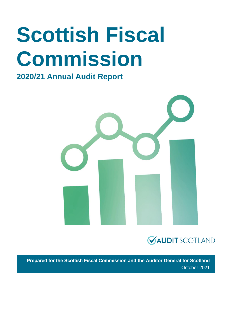# **Scottish Fiscal Commission**

### **2020/21 Annual Audit Report**





**Prepared for the Scottish Fiscal Commission and the Auditor General for Scotland** October 2021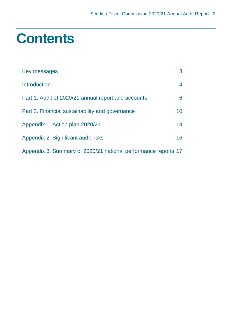### **Contents**

| Key messages                                                   | 3              |
|----------------------------------------------------------------|----------------|
| Introduction                                                   | $\overline{4}$ |
| Part 1. Audit of 2020/21 annual report and accounts            | 6              |
| Part 2. Financial sustainability and governance                | 10             |
| Appendix 1. Action plan 2020/21                                | 14             |
| Appendix 2. Significant audit risks                            | 16             |
| Appendix 3. Summary of 2020/21 national performance reports 17 |                |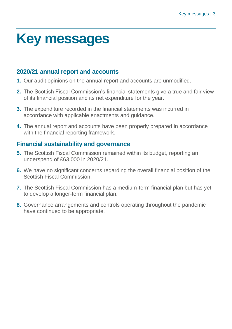### <span id="page-2-0"></span>**Key messages**

#### **2020/21 annual report and accounts**

- **1.** Our audit opinions on the annual report and accounts are unmodified.
- **2.** The Scottish Fiscal Commission's financial statements give a true and fair view of its financial position and its net expenditure for the year.
- **3.** The expenditure recorded in the financial statements was incurred in accordance with applicable enactments and guidance.
- **4.** The annual report and accounts have been properly prepared in accordance with the financial reporting framework.

#### **Financial sustainability and governance**

- **5.** The Scottish Fiscal Commission remained within its budget, reporting an underspend of £63,000 in 2020/21.
- **6.** We have no significant concerns regarding the overall financial position of the Scottish Fiscal Commission.
- **7.** The Scottish Fiscal Commission has a medium-term financial plan but has yet to develop a longer-term financial plan.
- **8.** Governance arrangements and controls operating throughout the pandemic have continued to be appropriate.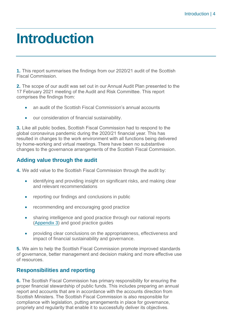### <span id="page-3-0"></span>**Introduction**

**1.** This report summarises the findings from our 2020/21 audit of the Scottish Fiscal Commission.

**2.** The scope of our audit was set out in our Annual Audit Plan presented to the 17 February 2021 meeting of the Audit and Risk Committee. This report comprises the findings from:

- an audit of the Scottish Fiscal Commission's annual accounts
- our consideration of financial sustainability.

**3.** Like all public bodies, Scottish Fiscal Commission had to respond to the global coronavirus pandemic during the 2020/21 financial year. This has resulted in changes to the work environment with all functions being delivered by home-working and virtual meetings. There have been no substantive changes to the governance arrangements of the Scottish Fiscal Commission.

#### **Adding value through the audit**

**4.** We add value to the Scottish Fiscal Commission through the audit by:

- identifying and providing insight on significant risks, and making clear and relevant recommendations
- reporting our findings and conclusions in public
- recommending and encouraging good practice
- sharing intelligence and good practice through our national reports [\(Appendix 3\)](#page-16-1) and good practice guides
- providing clear conclusions on the appropriateness, effectiveness and impact of financial sustainability and governance.

**5.** We aim to help the Scottish Fiscal Commission promote improved standards of governance, better management and decision making and more effective use of resources.

#### **Responsibilities and reporting**

**6.** The Scottish Fiscal Commission has primary responsibility for ensuring the proper financial stewardship of public funds. This includes preparing an annual report and accounts that are in accordance with the accounts direction from Scottish Ministers. The Scottish Fiscal Commission is also responsible for compliance with legislation, putting arrangements in place for governance, propriety and regularity that enable it to successfully deliver its objectives.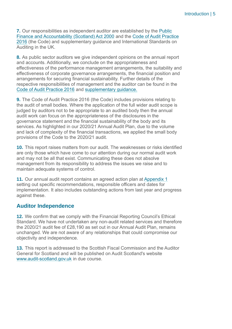**7.** Our responsibilities as independent auditor are established by the [Public](https://www.legislation.gov.uk/asp/2000/1/pdfs/asp_20000001_en.pdf)  [Finance and Accountability \(Scotland\) Act 2000](https://www.legislation.gov.uk/asp/2000/1/pdfs/asp_20000001_en.pdf) and the [Code of Audit Practice](https://www.audit-scotland.gov.uk/uploads/docs/report/2016/code_audit_practice_16.pdf)  [2016](https://www.audit-scotland.gov.uk/uploads/docs/report/2016/code_audit_practice_16.pdf) (the Code) and supplementary guidance and International Standards on Auditing in the UK.

**8.** As public sector auditors we give independent opinions on the annual report and accounts. Additionally, we conclude on the appropriateness and effectiveness of the performance management arrangements, the suitability and effectiveness of corporate governance arrangements, the financial position and arrangements for securing financial sustainability. Further details of the respective responsibilities of management and the auditor can be found in the [Code of Audit Practice 2016](https://www.audit-scotland.gov.uk/uploads/docs/report/2016/code_audit_practice_16.pdf) and [supplementary guidance.](https://www.audit-scotland.gov.uk/uploads/docs/um/code_audit_guidance_16_supp.pdf)

**9.** The [Code of Audit Practice 2016](http://www.audit-scotland.gov.uk/report/code-of-audit-practice-2016) (the Code) includes provisions relating to the audit of small bodies. Where the application of the full wider audit scope is judged by auditors not to be appropriate to an audited body then the annual audit work can focus on the appropriateness of the disclosures in the governance statement and the financial sustainability of the body and its services. As highlighted in our 2020/21 Annual Audit Plan, due to the volume and lack of complexity of the financial transactions, we applied the small body provisions of the Code to the 2020/21 audit.

**10.** This report raises matters from our audit. The weaknesses or risks identified are only those which have come to our attention during our normal audit work and may not be all that exist. Communicating these does not absolve management from its responsibility to address the issues we raise and to maintain adequate systems of control.

**11.** Our annual audit report contains an agreed action plan at [Appendix 1](#page-13-0) setting out specific recommendations, responsible officers and dates for implementation. It also includes outstanding actions from last year and progress against these.

#### **Auditor Independence**

**12.** We confirm that we comply with the Financial Reporting Council's Ethical Standard. We have not undertaken any non-audit related services and therefore the 2020/21 audit fee of £28,190 as set out in our Annual Audit Plan, remains unchanged. We are not aware of any relationships that could compromise our objectivity and independence.

**13.** This report is addressed to the Scottish Fiscal Commission and the Auditor General for Scotland and will be published on Audit Scotland's website [www.audit-scotland.gov.uk](http://www.audit-scotland.gov.uk/) in due course.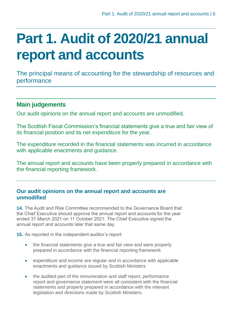# <span id="page-5-0"></span>**Part 1. Audit of 2020/21 annual report and accounts**

The principal means of accounting for the stewardship of resources and performance

#### **Main judgements**

Our audit opinions on the annual report and accounts are unmodified.

The Scottish Fiscal Commission's financial statements give a true and fair view of its financial position and its net expenditure for the year.

The expenditure recorded in the financial statements was incurred in accordance with applicable enactments and guidance.

The annual report and accounts have been properly prepared in accordance with the financial reporting framework.

#### **Our audit opinions on the annual report and accounts are unmodified**

**14.** The Audit and Risk Committee recommended to the Governance Board that the Chief Executive should approve the annual report and accounts for the year ended 31 March 2021 on 11 October 2021. The Chief Executive signed the annual report and accounts later that same day.

**15.** As reported in the independent auditor's report:

- the financial statements give a true and fair view and were properly prepared in accordance with the financial reporting framework
- expenditure and income are regular and in accordance with applicable enactments and guidance issued by Scottish Ministers
- the audited part of the remuneration and staff report, performance report and governance statement were all consistent with the financial statements and properly prepared in accordance with the relevant legislation and directions made by Scottish Ministers.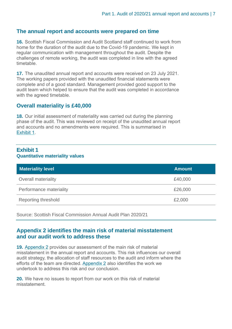#### **The annual report and accounts were prepared on time**

**16.** Scottish Fiscal Commission and Audit Scotland staff continued to work from home for the duration of the audit due to the Covid-19 pandemic. We kept in regular communication with management throughout the audit. Despite the challenges of remote working, the audit was completed in line with the agreed timetable.

**17.** The unaudited annual report and accounts were received on 23 July 2021. The working papers provided with the unaudited financial statements were complete and of a good standard. Management provided good support to the audit team which helped to ensure that the audit was completed in accordance with the agreed timetable.

#### **Overall materiality is £40,000**

**18.** Our initial assessment of materiality was carried out during the planning phase of the audit. This was reviewed on receipt of the unaudited annual report and accounts and no amendments were required. This is summarised in [Exhibit](#page-6-0) 1.

#### <span id="page-6-0"></span>**Exhibit 1 Quantitative materiality values**

| <b>Materiality level</b>   | <b>Amount</b> |
|----------------------------|---------------|
| <b>Overall materiality</b> | £40,000       |
| Performance materiality    | £26,000       |
| <b>Reporting threshold</b> | £2,000        |

Source: Scottish Fiscal Commission Annual Audit Plan 2020/21

#### **[Appendix 2](#page-15-0) identifies the main risk of material misstatement and our audit work to address these**

**19.** [Appendix](#page-15-0) 2 provides our assessment of the main risk of material misstatement in the annual report and accounts. This risk influences our overall audit strategy, the allocation of staff resources to the audit and inform where the efforts of the team are directed. [Appendix 2](#page-15-0) also identifies the work we undertook to address this risk and our conclusion.

**20.** We have no issues to report from our work on this risk of material misstatement.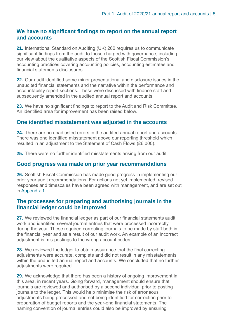#### **We have no significant findings to report on the annual report and accounts**

**21.** International Standard on Auditing (UK) 260 requires us to communicate significant findings from the audit to those charged with governance, including our view about the qualitative aspects of the Scottish Fiscal Commission's accounting practices covering accounting policies, accounting estimates and financial statements disclosures.

**22.** Our audit identified some minor presentational and disclosure issues in the unaudited financial statements and the narrative within the performance and accountability report sections. These were discussed with finance staff and subsequently amended in the audited annual report and accounts.

**23.** We have no significant findings to report to the Audit and Risk Committee. An identified area for improvement has been raised below.

#### **One identified misstatement was adjusted in the accounts**

**24.** There are no unadjusted errors in the audited annual report and accounts. There was one identified misstatement above our reporting threshold which resulted in an adjustment to the Statement of Cash Flows (£6,000).

**25.** There were no further identified misstatements arising from our audit.

#### **Good progress was made on prior year recommendations**

**26.** Scottish Fiscal Commission has made good progress in implementing our prior year audit recommendations. For actions not yet implemented, revised responses and timescales have been agreed with management, and are set out in [Appendix 1.](#page-13-0)

#### **The processes for preparing and authorising journals in the financial ledger could be improved**

**27.** We reviewed the financial ledger as part of our financial statements audit work and identified several journal entries that were processed incorrectly during the year. These required correcting journals to be made by staff both in the financial year and as a result of our audit work. An example of an incorrect adjustment is mis-postings to the wrong account codes.

**28.** We reviewed the ledger to obtain assurance that the final correcting adjustments were accurate, complete and did not result in any misstatements within the unaudited annual report and accounts. We concluded that no further adjustments were required.

<span id="page-7-0"></span>**29.** We acknowledge that there has been a history of ongoing improvement in this area, in recent years. Going forward, management should ensure that journals are reviewed and authorised by a second individual prior to posting journals to the ledger. This would help minimise the risk of erroneous adjustments being processed and not being identified for correction prior to preparation of budget reports and the year-end financial statements. The naming convention of journal entries could also be improved by ensuring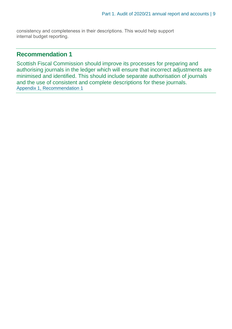consistency and completeness in their descriptions. This would help support internal budget reporting.

#### **Recommendation 1**

Scottish Fiscal Commission should improve its processes for preparing and authorising journals in the ledger which will ensure that incorrect adjustments are minimised and identified. This should include separate authorisation of journals and the use of consistent and complete descriptions for these journals. [Appendix 1, Recommendation 1](#page-13-0)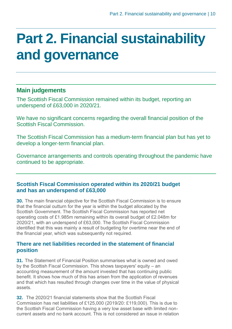### <span id="page-9-0"></span>**Part 2. Financial sustainability and governance**

#### **Main judgements**

The Scottish Fiscal Commission remained within its budget, reporting an underspend of £63,000 in 2020/21.

We have no significant concerns regarding the overall financial position of the Scottish Fiscal Commission.

The Scottish Fiscal Commission has a medium-term financial plan but has yet to develop a longer-term financial plan.

Governance arrangements and controls operating throughout the pandemic have continued to be appropriate.

#### **Scottish Fiscal Commission operated within its 2020/21 budget and has an underspend of £63,000**

**30.** The main financial objective for the Scottish Fiscal Commission is to ensure that the financial outturn for the year is within the budget allocated by the Scottish Government. The Scottish Fiscal Commission has reported net operating costs of £1.985m remaining within its overall budget of £2.048m for 2020/21, with an underspend of £63,000. The Scottish Fiscal Commission identified that this was mainly a result of budgeting for overtime near the end of the financial year, which was subsequently not required.

#### **There are net liabilities recorded in the statement of financial position**

**31.** The Statement of Financial Position summarises what is owned and owed by the Scottish Fiscal Commission. This shows taxpayers' equity – an accounting measurement of the amount invested that has continuing public benefit. It shows how much of this has arisen from the application of revenues and that which has resulted through changes over time in the value of physical assets.

**32.** The 2020/21 financial statements show that the Scottish Fiscal Commission has net liabilities of £125,000 (2019/20: £119,000). This is due to the Scottish Fiscal Commission having a very low asset base with limited noncurrent assets and no bank account. This is not considered an issue in relation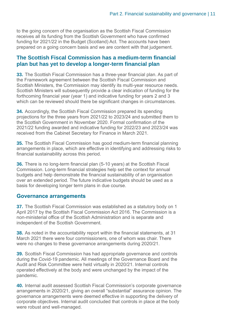to the going concern of the organisation as the Scottish Fiscal Commission receives all its funding from the Scottish Government who have confirmed funding for 2021/22 in the Budget (Scotland) Act. The accounts have been prepared on a going concern basis and we are content with that judgement.

#### **The Scottish Fiscal Commission has a medium-term financial plan but has yet to develop a longer-term financial plan**

**33.** The Scottish Fiscal Commission has a three-year financial plan. As part of the Framework agreement between the Scottish Fiscal Commission and Scottish Ministers, the Commission may identify its multi-year resource needs. Scottish Ministers will subsequently provide a clear indication of funding for the forthcoming financial year (year 1) and indicative funding for years 2 and 3 which can be reviewed should there be significant changes in circumstances.

**34.** Accordingly, the Scottish Fiscal Commission prepared its spending projections for the three years from 2021/22 to 2023/24 and submitted them to the Scottish Government in November 2020. Formal confirmation of the 2021/22 funding awarded and indicative funding for 2022/23 and 2023/24 was received from the Cabinet Secretary for Finance in March 2021.

**35.** The Scottish Fiscal Commission has good medium-term financial planning arrangements in place, which are effective in identifying and addressing risks to financial sustainability across this period.

**36.** There is no long-term financial plan (5-10 years) at the Scottish Fiscal Commission. Long-term financial strategies help set the context for annual budgets and help demonstrate the financial sustainability of an organisation over an extended period. The future indicative budgets should be used as a basis for developing longer term plans in due course.

#### **Governance arrangements**

**37.** The Scottish Fiscal Commission was established as a statutory body on 1 April 2017 by the Scottish Fiscal Commission Act 2016. The Commission is a non-ministerial office of the Scottish Administration and is separate and independent of the Scottish Government.

**38.** As noted in the accountability report within the financial statements, at 31 March 2021 there were four commissioners, one of whom was chair. There were no changes to these governance arrangements during 2020/21.

**39.** Scottish Fiscal Commission has had appropriate governance and controls during the Covid-19 pandemic. All meetings of the Governance Board and the Audit and Risk Committee were held virtually in 2020/21. Internal controls operated effectively at the body and were unchanged by the impact of the pandemic.

**40.** Internal audit assessed Scottish Fiscal Commission's corporate governance arrangements in 2020/21, giving an overall "substantial" assurance opinion. The governance arrangements were deemed effective in supporting the delivery of corporate objectives. Internal audit concluded that controls in place at the body were robust and well-managed.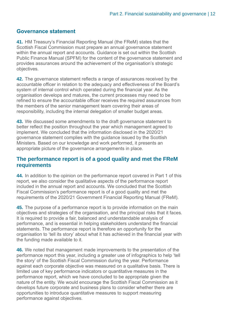#### **Governance statement**

**41.** HM Treasury's Financial Reporting Manual (the FReM) states that the Scottish Fiscal Commission must prepare an annual governance statement within the annual report and accounts. Guidance is set out within the Scottish Public Finance Manual (SPFM) for the content of the governance statement and provides assurances around the achievement of the organisation's strategic objectives.

**42.** The governance statement reflects a range of assurances received by the accountable officer in relation to the adequacy and effectiveness of the Board's system of internal control which operated during the financial year. As the organisation develops and matures, the current processes may need to be refined to ensure the accountable officer receives the required assurances from the members of the senior management team covering their areas of responsibility, including the internal delegation of smaller budget areas.

**43.** We discussed some amendments to the draft governance statement to better reflect the position throughout the year which management agreed to implement. We concluded that the information disclosed in the 2020/21 governance statement complies with the guidance issued by the Scottish Ministers. Based on our knowledge and work performed, it presents an appropriate picture of the governance arrangements in place.

#### **The performance report is of a good quality and met the FReM requirements**

**44.** In addition to the opinion on the performance report covered in Part 1 of this report, we also consider the qualitative aspects of the performance report included in the annual report and accounts. We concluded that the Scottish Fiscal Commission's performance report is of a good quality and met the requirements of the 2020/21 Government Financial Reporting Manual (FReM).

**45.** The purpose of a performance report is to provide information on the main objectives and strategies of the organisation, and the principal risks that it faces. It is required to provide a fair, balanced and understandable analysis of performance, and is essential in helping stakeholders understand the financial statements. The performance report is therefore an opportunity for the organisation to 'tell its story' about what it has achieved in the financial year with the funding made available to it.

**46.** We noted that management made improvements to the presentation of the performance report this year, including a greater use of infographics to help 'tell the story' of the Scottish Fiscal Commission during the year. Performance against each corporate objective was measured on a qualitative basis. There is limited use of key performance indicators or quantitative measures in the performance report, which we have concluded to be appropriate given the nature of the entity. We would encourage the Scottish Fiscal Commission as it develops future corporate and business plans to consider whether there are opportunities to introduce quantitative measures to support measuring performance against objectives.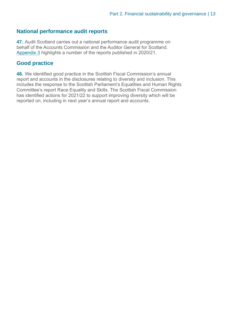#### **National performance audit reports**

**47.** Audit Scotland carries out a national performance audit programme on behalf of the Accounts Commission and the Auditor General for Scotland. [Appendix 3](#page-16-0) highlights a number of the reports published in 2020/21.

#### **Good practice**

**48.** We identified good practice in the Scottish Fiscal Commission's annual report and accounts in the disclosures relating to diversity and inclusion. This includes the response to the Scottish Parliament's Equalities and Human Rights Committee's report Race Equality and Skills. The Scottish Fiscal Commission has identified actions for 2021/22 to support improving diversity which will be reported on, including in next year's annual report and accounts.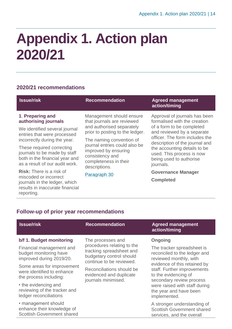## <span id="page-13-0"></span>**Appendix 1. Action plan 2020/21**

#### **2020/21 recommendations**

| <b>Issue/risk</b>                                                                                                                                                                                                                                                                                                                                                                                                | <b>Recommendation</b>                                                                                                                                                                                                                                                                    | <b>Agreed management</b><br>action/timing                                                                                                                                                                                                                                                                                                          |
|------------------------------------------------------------------------------------------------------------------------------------------------------------------------------------------------------------------------------------------------------------------------------------------------------------------------------------------------------------------------------------------------------------------|------------------------------------------------------------------------------------------------------------------------------------------------------------------------------------------------------------------------------------------------------------------------------------------|----------------------------------------------------------------------------------------------------------------------------------------------------------------------------------------------------------------------------------------------------------------------------------------------------------------------------------------------------|
| 1. Preparing and<br>authorising journals<br>We identified several journal<br>entries that were processed<br>incorrectly during the year.<br>These required correcting<br>journals to be made by staff<br>both in the financial year and<br>as a result of our audit work.<br>Risk: There is a risk of<br>miscoded or incorrect<br>journals in the ledger, which<br>results in inaccurate financial<br>reporting. | Management should ensure<br>that journals are reviewed<br>and authorised separately<br>prior to posting to the ledger.<br>The naming convention of<br>journal entries could also be<br>improved by ensuring<br>consistency and<br>completeness in their<br>descriptions.<br>Paragraph 30 | Approval of journals has been<br>formalised with the creation<br>of a form to be completed<br>and reviewed by a separate<br>officer. The form includes the<br>description of the journal and<br>the accounting details to be<br>used. This process is now<br>being used to authorise<br>journals.<br><b>Governance Manager</b><br><b>Completed</b> |
| <b>Follow-up of prior year recommendations</b><br><b>Issue/risk</b>                                                                                                                                                                                                                                                                                                                                              | <b>Recommendation</b>                                                                                                                                                                                                                                                                    | <b>Agreed management</b><br>action/timing                                                                                                                                                                                                                                                                                                          |
| b/f 1. Budget monitoring<br>Financial management and                                                                                                                                                                                                                                                                                                                                                             | The processes and<br>procedures relating to the<br>المتمرس المترسم والملمام وتمسحون وترامين والمتحسنة                                                                                                                                                                                    | <b>Ongoing</b><br>The tracker spreadsheet is                                                                                                                                                                                                                                                                                                       |

budget monitoring have improved during 2019/20. Some areas for improvement were identified to enhance

• the evidencing and reviewing of the tracker and ledger reconciliations

the process including:

• management should enhance their knowledge of Scottish Government shared tracking spreadsheet and budgetary control should continue to be reviewed.

Reconciliations should be evidenced and duplicate journals minimised.

The tracker spreadsheet is reconciled to the ledger and reviewed monthly, with evidence of this retained by staff. Further improvements to the evidencing of secondary review process were raised with staff during the year and have been implemented.

A stronger understanding of Scottish Government shared services, and the overall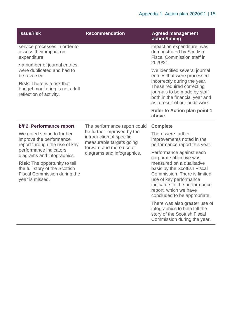| <b>Issue/risk</b>                                                                                                                                                                         | <b>Recommendation</b>                                                                                                                                                        | <b>Agreed management</b><br>action/timing                                                                                                                                                                                                                            |
|-------------------------------------------------------------------------------------------------------------------------------------------------------------------------------------------|------------------------------------------------------------------------------------------------------------------------------------------------------------------------------|----------------------------------------------------------------------------------------------------------------------------------------------------------------------------------------------------------------------------------------------------------------------|
| service processes in order to<br>assess their impact on<br>expenditure                                                                                                                    | 2020/21.<br>above                                                                                                                                                            | impact on expenditure, was<br>demonstrated by Scottish<br><b>Fiscal Commission staff in</b>                                                                                                                                                                          |
| • a number of journal entries<br>were duplicated and had to<br>be reversed.<br><b>Risk:</b> There is a risk that                                                                          |                                                                                                                                                                              | We identified several journal<br>entries that were processed<br>incorrectly during the year.<br>These required correcting                                                                                                                                            |
| budget monitoring is not a full<br>reflection of activity.                                                                                                                                |                                                                                                                                                                              | journals to be made by staff<br>both in the financial year and<br>as a result of our audit work.                                                                                                                                                                     |
|                                                                                                                                                                                           |                                                                                                                                                                              | <b>Refer to Action plan point 1</b>                                                                                                                                                                                                                                  |
| b/f 2. Performance report                                                                                                                                                                 | The performance report could<br>be further improved by the<br>introduction of specific,<br>measurable targets going<br>forward and more use of<br>diagrams and infographics. | <b>Complete</b>                                                                                                                                                                                                                                                      |
| We noted scope to further<br>improve the performance<br>report through the use of key                                                                                                     |                                                                                                                                                                              | There were further<br>improvements noted in the<br>performance report this year.                                                                                                                                                                                     |
| performance indicators,<br>diagrams and infographics.<br><b>Risk:</b> The opportunity to tell<br>the full story of the Scottish<br><b>Fiscal Commission during the</b><br>year is missed. |                                                                                                                                                                              | Performance against each<br>corporate objective was<br>measured on a qualitative<br>basis by the Scottish Fiscal<br>Commission. There is limited<br>use of key performance<br>indicators in the performance<br>report, which we have<br>concluded to be appropriate. |
|                                                                                                                                                                                           |                                                                                                                                                                              | There was also greater use of<br>infographics to help tell the<br>story of the Scottish Fiscal<br>Commission during the year.                                                                                                                                        |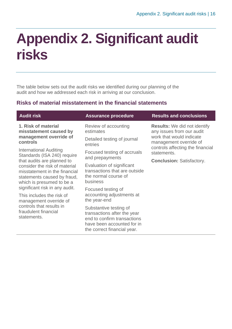## <span id="page-15-0"></span>**Appendix 2. Significant audit risks**

The table below sets out the audit risks we identified during our planning of the audit and how we addressed each risk in arriving at our conclusion.

#### **Risks of material misstatement in the financial statements**

| <b>Audit risk</b>                                                                                                                                                                                                                                                                                                                                                                                                                                                           | <b>Assurance procedure</b>                                                                                                                        | <b>Results and conclusions</b>                                                                                                                                                                                |
|-----------------------------------------------------------------------------------------------------------------------------------------------------------------------------------------------------------------------------------------------------------------------------------------------------------------------------------------------------------------------------------------------------------------------------------------------------------------------------|---------------------------------------------------------------------------------------------------------------------------------------------------|---------------------------------------------------------------------------------------------------------------------------------------------------------------------------------------------------------------|
| 1. Risk of material<br>misstatement caused by<br>management override of<br>controls<br><b>International Auditing</b><br>Standards (ISA 240) require<br>that audits are planned to<br>consider the risk of material<br>misstatement in the financial<br>statements caused by fraud,<br>which is presumed to be a<br>significant risk in any audit.<br>This includes the risk of<br>management override of<br>controls that results in<br>fraudulent financial<br>statements. | Review of accounting<br>estimates                                                                                                                 | <b>Results:</b> We did not identify<br>any issues from our audit<br>work that would indicate<br>management override of<br>controls affecting the financial<br>statements.<br><b>Conclusion: Satisfactory.</b> |
|                                                                                                                                                                                                                                                                                                                                                                                                                                                                             | Detailed testing of journal<br>entries                                                                                                            |                                                                                                                                                                                                               |
|                                                                                                                                                                                                                                                                                                                                                                                                                                                                             | Focused testing of accruals<br>and prepayments                                                                                                    |                                                                                                                                                                                                               |
|                                                                                                                                                                                                                                                                                                                                                                                                                                                                             | Evaluation of significant<br>transactions that are outside<br>the normal course of<br>business                                                    |                                                                                                                                                                                                               |
|                                                                                                                                                                                                                                                                                                                                                                                                                                                                             | Focused testing of<br>accounting adjustments at<br>the year-end                                                                                   |                                                                                                                                                                                                               |
|                                                                                                                                                                                                                                                                                                                                                                                                                                                                             | Substantive testing of<br>transactions after the year<br>end to confirm transactions<br>have been accounted for in<br>the correct financial year. |                                                                                                                                                                                                               |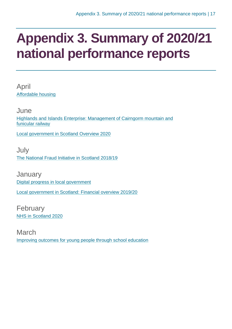### <span id="page-16-1"></span><span id="page-16-0"></span>**Appendix 3. Summary of 2020/21 national performance reports**

April [Affordable housing](https://www.audit-scotland.gov.uk/report/affordable-housing)

June [Highlands and Islands Enterprise: Management of Cairngorm mountain and](https://www.audit-scotland.gov.uk/report/highlands-and-islands-enterprise-management-of-cairngorm-mountain-and-funicular-railway)  [funicular railway](https://www.audit-scotland.gov.uk/report/highlands-and-islands-enterprise-management-of-cairngorm-mountain-and-funicular-railway)

[Local government in Scotland Overview 2020](https://www.audit-scotland.gov.uk/report/local-government-in-scotland-overview-2020)

July [The National Fraud Initiative in Scotland 2018/19](https://www.audit-scotland.gov.uk/report/the-national-fraud-initiative-in-scotland-201819)

**January** [Digital progress in local government](https://www.audit-scotland.gov.uk/report/digital-progress-in-local-government) [Local government in Scotland: Financial overview 2019/20](https://www.audit-scotland.gov.uk/report/local-government-in-scotland-financial-overview-201920)

February [NHS in Scotland 2020](https://www.audit-scotland.gov.uk/report/nhs-in-scotland-2020)

March [Improving outcomes for young people through school education](https://www.audit-scotland.gov.uk/report/improving-outcomes-for-young-people-through-school-education)